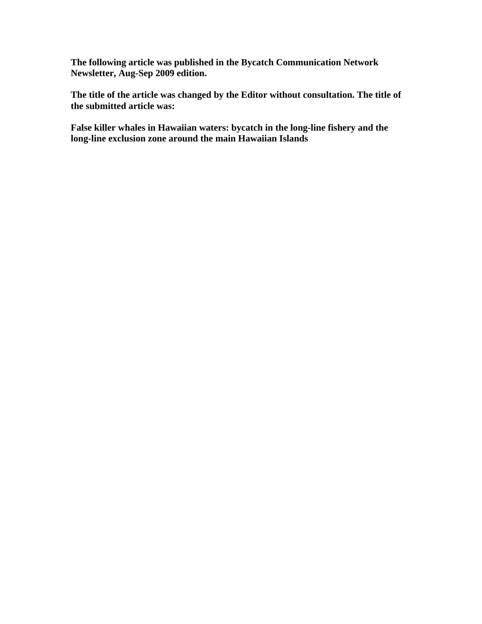**The following article was published in the Bycatch Communication Network Newsletter, Aug-Sep 2009 edition.** 

**The title of the article was changed by the Editor without consultation. The title of the submitted article was:** 

**False killer whales in Hawaiian waters: bycatch in the long-line fishery and the long-line exclusion zone around the main Hawaiian Islands**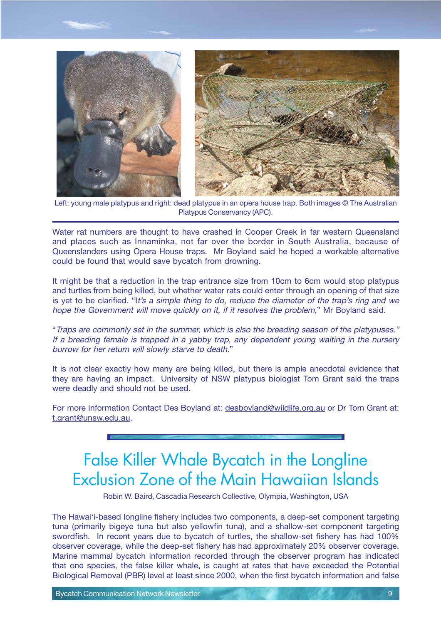

Left: young male platypus and right: dead platypus in an opera house trap. Both images © The Australian Platypus Conservancy (APC).

Water rat numbers are thought to have crashed in Cooper Creek in far western Queensland and places such as Innaminka, not far over the border in South Australia, because of Queenslanders using Opera House traps. Mr Boyland said he hoped a workable alternative could be found that would save bycatch from drowning.

It might be that a reduction in the trap entrance size from 10cm to 6cm would stop platypus and turtles from being killed, but whether water rats could enter through an opening of that size is yet to be clarified. "It's a simple thing to do, reduce the diameter of the trap's ring and we hope the Government will move quickly on it, if it resolves the problem," Mr Boyland said.

"Traps are commonly set in the summer, which is also the breeding season of the platypuses." If a breeding female is trapped in a yabby trap, any dependent young waiting in the nursery burrow for her return will slowly starve to death."

It is not clear exactly how many are being killed, but there is ample anecdotal evidence that they are having an impact. University of NSW platypus biologist Tom Grant said the traps were deadly and should not be used.

For more information Contact Des Boyland at: desboyland@wildlife.org.au or Dr Tom Grant at: t.grant@unsw.edu.au.

## False Killer Whale Bycatch in the Longline Exclusion Zone of the Main Hawaiian Islands

Robin W. Baird, Cascadia Research Collective, Olympia, Washington, USA

The Hawai'i-based longline fishery includes two components, a deep-set component targeting tuna (primarily bigeye tuna but also yellowfin tuna), and a shallow-set component targeting swordfish. In recent years due to bycatch of turtles, the shallow-set fishery has had 100% observer coverage, while the deep-set fishery has had approximately 20% observer coverage. Marine mammal bycatch information recorded through the observer program has indicated that one species, the false killer whale, is caught at rates that have exceeded the Potential Biological Removal (PBR) level at least since 2000, when the first bycatch information and false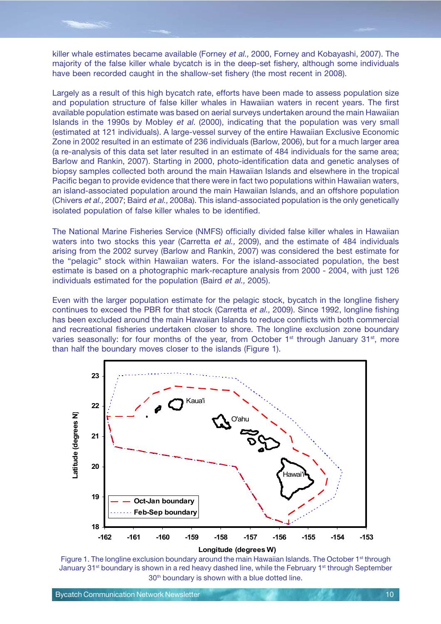killer whale estimates became available (Forney et al., 2000, Forney and Kobayashi, 2007). The majority of the false killer whale bycatch is in the deep-set fishery, although some individuals have been recorded caught in the shallow-set fishery (the most recent in 2008).

Largely as a result of this high bycatch rate, efforts have been made to assess population size and population structure of false killer whales in Hawaiian waters in recent years. The first available population estimate was based on aerial surveys undertaken around the main Hawaiian Islands in the 1990s by Mobley et al. (2000), indicating that the population was very small (estimated at 121 individuals). A large-vessel survey of the entire Hawaiian Exclusive Economic Zone in 2002 resulted in an estimate of 236 individuals (Barlow, 2006), but for a much larger area (a re-analysis of this data set later resulted in an estimate of 484 individuals for the same area; Barlow and Rankin, 2007). Starting in 2000, photo-identification data and genetic analyses of biopsy samples collected both around the main Hawaiian Islands and elsewhere in the tropical Pacific began to provide evidence that there were in fact two populations within Hawaiian waters, an island-associated population around the main Hawaiian Islands, and an offshore population (Chivers et al., 2007; Baird et al., 2008a). This island-associated population is the only genetically isolated population of false killer whales to be identified.

The National Marine Fisheries Service (NMFS) officially divided false killer whales in Hawaiian waters into two stocks this year (Carretta et al., 2009), and the estimate of 484 individuals arising from the 2002 survey (Barlow and Rankin, 2007) was considered the best estimate for the "pelagic" stock within Hawaiian waters. For the island-associated population, the best estimate is based on a photographic mark-recapture analysis from 2000 - 2004, with just 126 individuals estimated for the population (Baird et al., 2005).

Even with the larger population estimate for the pelagic stock, bycatch in the longline fishery continues to exceed the PBR for that stock (Carretta et al., 2009). Since 1992, longline fishing has been excluded around the main Hawaiian Islands to reduce conflicts with both commercial and recreational fisheries undertaken closer to shore. The longline exclusion zone boundary varies seasonally: for four months of the year, from October  $1<sup>st</sup>$  through January 31 $<sup>st</sup>$ , more</sup> than half the boundary moves closer to the islands (Figure 1).



Figure 1. The longline exclusion boundary around the main Hawaiian Islands. The October 1<sup>st</sup> through January 31<sup>st</sup> boundary is shown in a red heavy dashed line, while the February 1<sup>st</sup> through September 30<sup>th</sup> boundary is shown with a blue dotted line.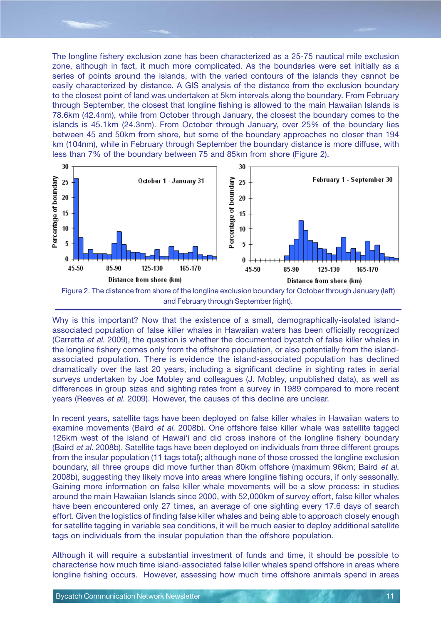The longline fishery exclusion zone has been characterized as a 25-75 nautical mile exclusion zone, although in fact, it much more complicated. As the boundaries were set initially as a series of points around the islands, with the varied contours of the islands they cannot be easily characterized by distance. A GIS analysis of the distance from the exclusion boundary to the closest point of land was undertaken at 5km intervals along the boundary. From February through September, the closest that longline fishing is allowed to the main Hawaiian Islands is 78.6km (42.4nm), while from October through January, the closest the boundary comes to the islands is 45.1km (24.3nm). From October through January, over 25% of the boundary lies between 45 and 50km from shore, but some of the boundary approaches no closer than 194 km (104nm), while in February through September the boundary distance is more diffuse, with less than 7% of the boundary between 75 and 85km from shore (Figure 2).



and February through September (right).

Why is this important? Now that the existence of a small, demographically-isolated islandassociated population of false killer whales in Hawaiian waters has been officially recognized (Carretta et al. 2009), the question is whether the documented bycatch of false killer whales in the longline fishery comes only from the offshore population, or also potentially from the islandassociated population. There is evidence the island-associated population has declined dramatically over the last 20 years, including a significant decline in sighting rates in aerial surveys undertaken by Joe Mobley and colleagues (J. Mobley, unpublished data), as well as differences in group sizes and sighting rates from a survey in 1989 compared to more recent years (Reeves et al. 2009). However, the causes of this decline are unclear.

In recent years, satellite tags have been deployed on false killer whales in Hawaiian waters to examine movements (Baird et al. 2008b). One offshore false killer whale was satellite tagged 126km west of the island of Hawai'i and did cross inshore of the longline fishery boundary (Baird et al. 2008b). Satellite tags have been deployed on individuals from three different groups from the insular population (11 tags total); although none of those crossed the longline exclusion boundary, all three groups did move further than 80km offshore (maximum 96km; Baird et al. 2008b), suggesting they likely move into areas where longline fishing occurs, if only seasonally. Gaining more information on false killer whale movements will be a slow process: in studies around the main Hawaiian Islands since 2000, with 52,000km of survey effort, false killer whales have been encountered only 27 times, an average of one sighting every 17.6 days of search effort. Given the logistics of finding false killer whales and being able to approach closely enough for satellite tagging in variable sea conditions, it will be much easier to deploy additional satellite tags on individuals from the insular population than the offshore population.

Although it will require a substantial investment of funds and time, it should be possible to characterise how much time island-associated false killer whales spend offshore in areas where longline fishing occurs. However, assessing how much time offshore animals spend in areas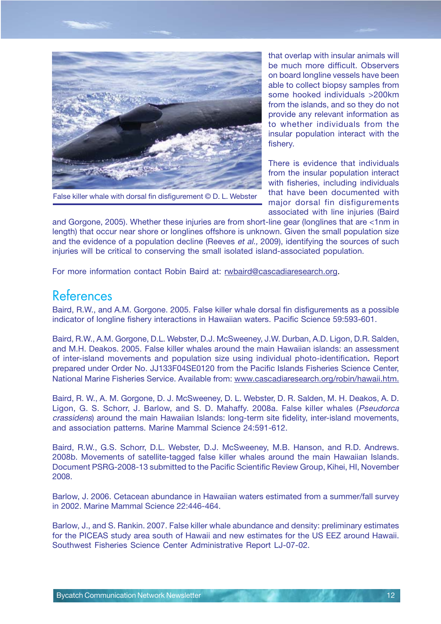

False killer whale with dorsal fin disfigurement © D. L. Webster

that overlap with insular animals will be much more difficult. Observers on board longline vessels have been able to collect biopsy samples from some hooked individuals >200km from the islands, and so they do not provide any relevant information as to whether individuals from the insular population interact with the fishery.

There is evidence that individuals from the insular population interact with fisheries, including individuals that have been documented with major dorsal fin disfigurements associated with line injuries (Baird

and Gorgone, 2005). Whether these injuries are from short-line gear (longlines that are <1nm in length) that occur near shore or longlines offshore is unknown. Given the small population size and the evidence of a population decline (Reeves et al., 2009), identifying the sources of such injuries will be critical to conserving the small isolated island-associated population.

For more information contact Robin Baird at: rwbaird@cascadiaresearch.org.

## References

Baird, R.W., and A.M. Gorgone. 2005. False killer whale dorsal fin disfigurements as a possible indicator of longline fishery interactions in Hawaiian waters. Pacific Science 59:593-601.

Baird, R.W., A.M. Gorgone, D.L. Webster, D.J. McSweeney, J.W. Durban, A.D. Ligon, D.R. Salden, and M.H. Deakos. 2005. False killer whales around the main Hawaiian islands: an assessment of inter-island movements and population size using individual photo-identification. Report . prepared under Order No. JJ133F04SE0120 from the Pacific Islands Fisheries Science Center, National Marine Fisheries Service. Available from: www.cascadiaresearch.org/robin/hawaii.htm.

Baird, R. W., A. M. Gorgone, D. J. McSweeney, D. L. Webster, D. R. Salden, M. H. Deakos, A. D. Ligon, G. S. Schorr, J. Barlow, and S. D. Mahaffy. 2008a. False killer whales (Pseudorca crassidens) around the main Hawaiian Islands: long-term site fidelity, inter-island movements, and association patterns. Marine Mammal Science 24:591-612.

Baird, R.W., G.S. Schorr, D.L. Webster, D.J. McSweeney, M.B. Hanson, and R.D. Andrews. 2008b. Movements of satellite-tagged false killer whales around the main Hawaiian Islands. Document PSRG-2008-13 submitted to the Pacific Scientific Review Group, Kihei, HI, November 2008.

Barlow, J. 2006. Cetacean abundance in Hawaiian waters estimated from a summer/fall survey in 2002. Marine Mammal Science 22:446-464.

Barlow, J., and S. Rankin. 2007. False killer whale abundance and density: preliminary estimates for the PICEAS study area south of Hawaii and new estimates for the US EEZ around Hawaii. Southwest Fisheries Science Center Administrative Report LJ-07-02.